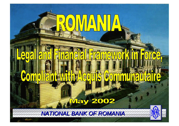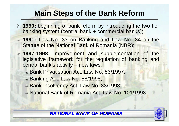# **Main Steps of the Bank Reform**

- ? **1990:** beginning of bank reform by introducing the two-tier banking system (central bank + commercial banks);
- ? **1991:** Law No. 33 on Banking and Law No. 34 on the Statute of the National Bank of Romania (NBR);
- ? **1997-1998:** improvement and supplementation of the legislative framework for the regulation of banking and central bank's activity – new laws:
	- *<b>* $≤$  *Bank Privatisation Act: Law No. 83/1997;*
	- $\approx$  Banking Act: Law No. 58/1998;
	- *<u><b>* Bank Insolvency Act: Law No. 83/1998;</u>
	- $\approx$  National Bank of Romania Act: Law No. 101/1998.



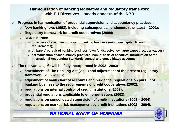#### **Harmonisation of banking legislative and regulatory framework with EU Directives – steady concern of the NBR**

- ? **Progress in harmonisation of prudential supervision and accountancy practices :**
	- ? **New banking laws (1998), including subsequent amendments (the latest – 2001);**
	- ? **Regulatory framework for credit cooperatives (2000);**
	- ? **NBR's norms:**
		- ? **on access of credit institutions to banking business (minimum capital, licensing requirements);**
		- ? **on banks' pursuit of banking business (own funds, solvency, large exposures, derivatives);**
		- ? **harmonisation of accountancy practices: banks' chart of accounts, introduction of the International Accounting Standards, annual and consolidated accounts ;**
- ? **The relevant** *acquis* **will be fully incorporated in 2002– 2003:**
	- ? **amendment of The Banking Act (2002) and adjustment of the present regulatory framework (2002-2003);**
	- ? **adjustment of bank chart of accounts and prudential regulations on pursuit of banking business to the requirements of credit cooperatives (2002);**
	- ? **regulations on internal control of credit institutions (2002);**
	- ? **prudential regulations applicable to e-money issuers (2003);**
	- ? **regulations on consolidated supervision of credit institutions (2003 – 2004);**
	- ? **regulations on market risk management by credit institutions (2003 – 2004).**

# *NATIONAL BANK OF ROMANIA*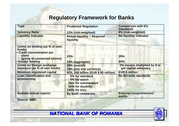# **Regulatory Framework for Banks**

| <b>Type</b>                                                                                                                           | <b>Prudential Regulation</b>                                                                | <b>Comparison with EU</b><br><b>Standards</b>        |  |
|---------------------------------------------------------------------------------------------------------------------------------------|---------------------------------------------------------------------------------------------|------------------------------------------------------|--|
| <b>Solvency Ratio</b>                                                                                                                 | 12% (risk-weighted)                                                                         | 8% (risk-weighted)                                   |  |
| <b>Liquidity indicator</b>                                                                                                            | <b>No liquidity indicator</b><br><b>Actual liquidity ? Required</b><br>liquidity            |                                                      |  |
| Limits on lending (as % of own<br>funds)<br>• Credit concentration per<br>client<br>(group of connected clients)<br>• Insider lending | 20%<br>20% (aggregate)                                                                      | 25%<br>20%                                           |  |
| Limits on foreign exchange<br>exposure (as % of own funds)                                                                            | 20% (overall)<br>10% (any one currency)                                                     | 2% excess multiplied by 8 to<br>get capital adequacy |  |
| <b>Minimum registered capital</b>                                                                                                     | ROL 250 billion (EUR 8.85 million)                                                          | <b>EUR 5 million</b>                                 |  |
| <b>Loan classification and</b><br>provisioning                                                                                        | 0% for standard<br>5% for watch<br>20% for substandard<br>50% for doubtful<br>100% for loss | <b>No EU-wide standards</b>                          |  |
| <b>Audited annual reports</b>                                                                                                         | <b>By audit companies</b>                                                                   | <b>External comprehensive</b><br>audits              |  |

**Source: NBR**

*NATIONAL BANK OF ROMANIA NATIONAL BANK OF ROMANIA*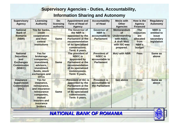# **Supervisory Agencies - Duties, Accountability,**

# **Information Sharing and Autonomy**

| <b>Supervisory</b><br><b>Agency</b>                                                            | Licensing<br><b>Authority</b>                                                                                                                               | De-<br>licensing<br>authority | <b>Appointment and</b><br><b>Term of Head of</b><br><b>Agency</b>                                                                                        | <b>Accountability</b><br>of Head                                             | <b>MoUs with</b><br><b>Other</b><br><b>Agencies</b>                                                                     | How is the<br><b>Agency</b><br><b>Financed</b>                                       | <b>Regulatory</b><br><b>Autonomy</b>                                     |
|------------------------------------------------------------------------------------------------|-------------------------------------------------------------------------------------------------------------------------------------------------------------|-------------------------------|----------------------------------------------------------------------------------------------------------------------------------------------------------|------------------------------------------------------------------------------|-------------------------------------------------------------------------------------------------------------------------|--------------------------------------------------------------------------------------|--------------------------------------------------------------------------|
| <b>National</b><br><b>Bank of</b><br><b>Romania</b><br>(NBR)                                   | Yes for banks,<br>credit<br>cooperatives<br>and their<br>central<br><b>institutions</b>                                                                     | <b>Same</b>                   | The Governor of<br>the NBR is<br>appointed by the<br><b>Parliament at the</b><br>recommendation<br>of its specialized<br>commissions.<br>Term: 6 years.  | <b>Governor of</b><br><b>NBR</b> is<br>accountable to<br><b>Parliament</b>   | <b>Memorandum</b><br><b>of</b><br><b>Understanding</b><br>with NSEC.<br><b>A draft MoU</b><br>with ISC was<br>prepared. | <b>The</b><br><b>resources</b><br>are<br>allocated<br>from<br><b>NBR's</b><br>budget | <b>NBR</b> is<br>entitled to<br><b>issue</b><br>secondary<br>legislation |
| <b>National</b><br><b>Securities</b><br>and<br><b>Exchanges</b><br><b>Commission</b><br>(NSEC) | <b>Yes for</b><br>brokerage<br>companies,<br>investment<br>advisors,<br><i>investment</i><br>funds, stock<br>exchanges and<br><b>OTCs</b>                   | <b>Same</b>                   | The president of<br><b>NSEC is</b><br>appointed by<br><b>Parliament at the</b><br>recommendation<br>of its specialized<br>commissions.<br>Term: 5 years. | <b>President of</b><br><b>NSEC</b> is<br>accountable to<br><b>Parliament</b> | <b>MoU with NBR</b>                                                                                                     | <b>Fees</b>                                                                          | <b>Same as</b><br>above                                                  |
| <b>Insurance</b><br><b>Supervision</b><br><b>Commission</b><br>(ISC)                           | <b>Yes for</b><br>insurance,<br>reinsurance,<br>and insurance-<br>reinsurance<br>companies,<br>mutual<br>insurers and<br><b>insurance</b><br><b>brokers</b> | <b>Same</b>                   | <b>President of ISC is</b><br>appointed by the<br><b>Parliament at the</b><br>recommendation<br>of its specialized<br>commissions.<br>Term: 5 years.     | <b>President is</b><br>accountable to<br>the Parliament                      | <b>See above</b>                                                                                                        | <b>Fees</b>                                                                          | <b>Same as</b><br>above                                                  |

*NATIONAL BANK OF ROMANIA*

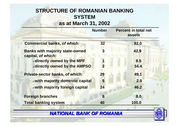# **STRUCTURE OF ROMANIAN BANKING SYSTEM as at March 31, 2002**

|                                                              | <b>Number</b> | <b>Percent in total net</b><br>assets |
|--------------------------------------------------------------|---------------|---------------------------------------|
| <b>Commercial banks, of which:</b>                           | 32            | 92.0                                  |
| <b>Banks with majority state-owned</b><br>capital, of which: |               | 42.9                                  |
| <b>Edirectly owned by the MPF</b>                            |               | 8.5                                   |
| <b>Edirectly owned by the AMPSO</b>                          | 2             | 34.4                                  |
| Private-sector banks, of which:                              | 29            | 49.1                                  |
| <b>Ewith majority domestic capital</b>                       | 5             | 2.9                                   |
| <b>Ewith majority foreign capital</b>                        | 24            | 46.2                                  |
| <b>Foreign branches</b>                                      | 8             | 8.0                                   |
| <b>Total banking system</b>                                  | 40            | 100.0                                 |



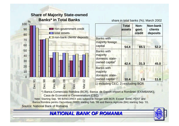## **Share of Majority State-owned Banks\* in Total Banks**





### *NATIONAL BANK OF ROMANIA NATIONAL BANK OF ROMANIA*

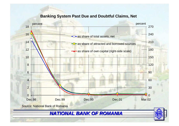#### **Banking System Past Due and Doubtful Claims, Net**

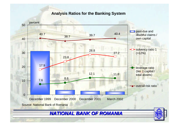#### **Analysis Ratios for the Banking System**

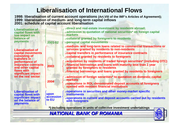# **Liberalisation of International Flows**

#### **1998: liberalisation of current account operations (Art.VIII of the IMF's Articles of Agreement); 1999: liberalisation of medium- and long-term capital inflows 2001: schedule of capital account liberalisation**

| <b>Liberalisation of</b><br>capital flows with<br>low impact on<br>balance of<br>payments                                            | 2001-02                    | <b>Explirect and real-estate investment by residents abroad;</b><br><b><i><b>■ admission to quotation of national securities* on foreign capital</b></i></b><br>markets<br><b>Example:</b> Example 2013 Example: Example 19 Example 2014<br><b><i>Epersonal capital movements</i></b> |  |  |
|--------------------------------------------------------------------------------------------------------------------------------------|----------------------------|---------------------------------------------------------------------------------------------------------------------------------------------------------------------------------------------------------------------------------------------------------------------------------------|--|--|
| <b>Liberalisation of</b><br>capital movements<br>consisting of                                                                       |                            | ≤medium- and long-term loans related to commercial transactions or<br>services granted by residents to non-residents<br><b><i><u></u></i></b> capital transfers in performance of insurance contracts<br><b><i>■</i>collateral granted by residents to foreigners</b>                 |  |  |
| transfers in<br>performance of<br>insurance contracts<br>and other capital<br>flows with<br>significant impact<br>on the real sector | 2003                       | $\triangle$ acquisition by residents of traded foreign securities* (including OTC)<br>$\epsilon$ financial borrowings and loans with maturity less than 1 year<br>granted by foreigners to residents<br>$\epsilon$ financial borrowings and loans granted by residents to foreigners  |  |  |
|                                                                                                                                      | 2004                       | <b><u><b>∞admission of foreign securities* to quotation on domestic capital</b></u></b><br>markets<br><b><i>■</i> operations in ROL-denominated deposit accounts of foreigners</b><br>opened with resident financial institutions                                                     |  |  |
| <b>Liberalisation of</b><br>capital flows with<br>significant impact<br>on the balance of<br><b>payments</b>                         | upon<br>accession<br>to EU | <b><i><b> <u>∞operations</u></b></i></b> in securities and other money-market specific<br><b>instruments</b><br><i><b><i></i></b> e</i> operations in current and deposit accounts carried out by residents<br>with foreigners                                                        |  |  |
| *) including operations in units of collective investment undertakings                                                               |                            |                                                                                                                                                                                                                                                                                       |  |  |

*NATIONAL BANK OF ROMANIA*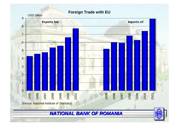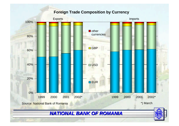#### **Foreign Trade Composition by Currency**

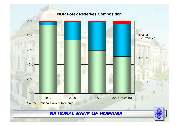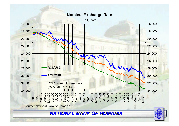#### **Nominal Exchange Rate**

(Daily Data)



*NATIONAL BANK OF ROMANIA NATIONAL BANK OF ROMANIA*

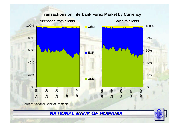

#### **Transactions on Interbank Forex Market by Currency**